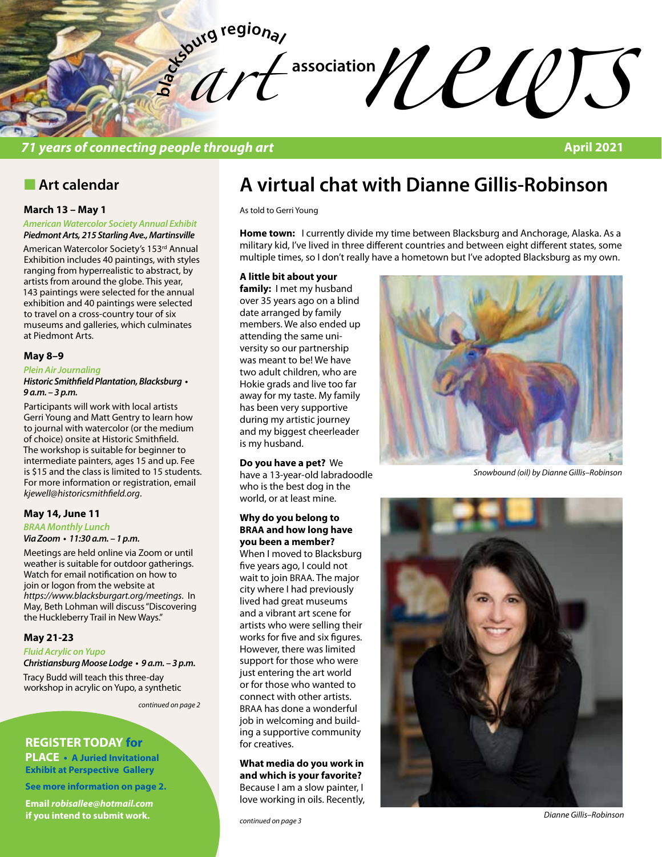**bla** *art*   $\frac{1}{2}$  association  $\frac{1}{2}$   $\frac{1}{2}$   $\frac{1}{2}$   $\frac{1}{2}$   $\frac{1}{2}$ 

### *71 years of connecting people through art* **April 2021**

# **n** Art calendar

### **March 13 – May 1**

#### *American Watercolor Society Annual Exhibit Piedmont Arts, 215 Starling Ave., Martinsville*

American Watercolor Society's 153rd Annual Exhibition includes 40 paintings, with styles ranging from hyperrealistic to abstract, by artists from around the globe. This year, 143 paintings were selected for the annual exhibition and 40 paintings were selected to travel on a cross-country tour of six museums and galleries, which culminates at Piedmont Arts.

### **May 8–9**

### *Plein Air Journaling*

**Historic Smithfield Plantation, Blacksburg •**  *9 a.m. – 3 p.m.* 

Participants will work with local artists Gerri Young and Matt Gentry to learn how to journal with watercolor (or the medium of choice) onsite at Historic Smithfield. The workshop is suitable for beginner to intermediate painters, ages 15 and up. Fee is \$15 and the class is limited to 15 students. For more information or registration, email *kjewell@historicsmithfield.org*.

### **May 14, June 11**

#### *BRAA Monthly Lunch*

### **Via Zoom • 11:30 a.m. – 1 p.m.**

Meetings are held online via Zoom or until weather is suitable for outdoor gatherings. Watch for email notification on how to join or logon from the website at *https://www.blacksburgart.org/meetings*. In May, Beth Lohman will discuss "Discovering the Huckleberry Trail in New Ways."

### **May 21-23**

*Fluid Acrylic on Yupo*

**Christiansburg Moose Lodge • 9 a.m. – 3 p.m.**  Tracy Budd will teach this three-day workshop in acrylic on Yupo, a synthetic

*continued on page 2*

### **REGISTER TODAY for**

**PLACE • A Juried Invitational Exhibit at Perspective Gallery**

**See more information on page 2.**

**Email** *robisallee@hotmail.com*  **if you intend to submit work.**

# **A virtual chat with Dianne Gillis-Robinson**

As told to Gerri Young

**Home town:** I currently divide my time between Blacksburg and Anchorage, Alaska. As a military kid, I've lived in three different countries and between eight different states, some multiple times, so I don't really have a hometown but I've adopted Blacksburg as my own.

### **A little bit about your**

**family:** I met my husband over 35 years ago on a blind date arranged by family members. We also ended up attending the same university so our partnership was meant to be! We have two adult children, who are Hokie grads and live too far away for my taste. My family has been very supportive during my artistic journey and my biggest cheerleader is my husband.

### **Do you have a pet?** We

have a 13-year-old labradoodle who is the best dog in the world, or at least mine.

### **Why do you belong to BRAA and how long have you been a member?**

When I moved to Blacksburg five years ago, I could not wait to join BRAA. The major city where I had previously lived had great museums and a vibrant art scene for artists who were selling their works for five and six figures. However, there was limited support for those who were just entering the art world or for those who wanted to connect with other artists. BRAA has done a wonderful job in welcoming and building a supportive community for creatives.

**What media do you work in and which is your favorite?**  Because I am a slow painter, I love working in oils. Recently,



*Snowbound (oil) by Dianne Gillis–Robinson*



*Dianne Gillis–Robinson*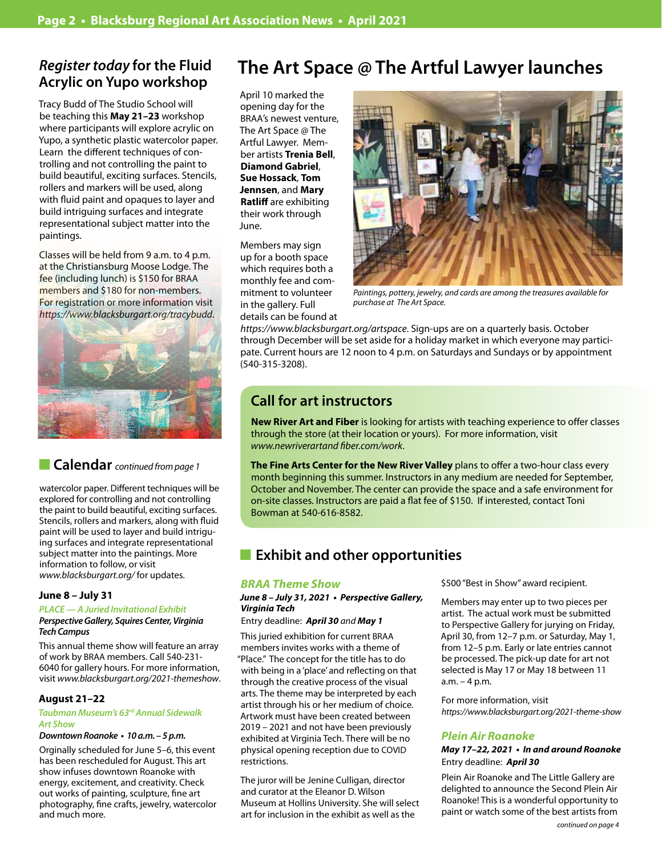# *Register today* **for the Fluid Acrylic on Yupo workshop**

Tracy Budd of The Studio School will be teaching this **May 21–23** workshop where participants will explore acrylic on Yupo, a synthetic plastic watercolor paper. Learn the different techniques of controlling and not controlling the paint to build beautiful, exciting surfaces. Stencils, rollers and markers will be used, along with fluid paint and opaques to layer and build intriguing surfaces and integrate representational subject matter into the paintings.

Classes will be held from 9 a.m. to 4 p.m. at the Christiansburg Moose Lodge. The fee (including lunch) is \$150 for BRAA members and \$180 for non-members. For registration or more information visit *https://www.blacksburgart.org/tracybudd*.



# n **Calendar** *continued from page 1*

watercolor paper. Different techniques will be explored for controlling and not controlling the paint to build beautiful, exciting surfaces. Stencils, rollers and markers, along with fluid paint will be used to layer and build intriguing surfaces and integrate representational subject matter into the paintings. More information to follow, or visit *www.blacksburgart.org/* for updates.

### **June 8 – July 31**

### *PLACE — A Juried Invitational Exhibit*

*Perspective Gallery, Squires Center, Virginia Tech Campus* 

This annual theme show will feature an array of work by BRAA members. Call 540-231- 6040 for gallery hours. For more information, visit *www.blacksburgart.org/2021-themeshow*.

### **August 21–22**

### *Taubman Museum's 63rd Annual Sidewalk Art Show*

### **Downtown Roanoke • 10 a.m. – 5 p.m.**

Orginally scheduled for June 5–6, this event has been rescheduled for August. This art show infuses downtown Roanoke with energy, excitement, and creativity. Check out works of painting, sculpture, fine art photography, fine crafts, jewelry, watercolor and much more.

# **The Art Space @ The Artful Lawyer launches**

April 10 marked the opening day for the BRAA's newest venture, The Art Space @ The Artful Lawyer. Member artists **Trenia Bell**, **Diamond Gabriel**, **Sue Hossack**, **Tom Jennsen**, and **Mary Ratliff** are exhibiting their work through June.

Members may sign up for a booth space which requires both a monthly fee and commitment to volunteer in the gallery. Full details can be found at



*Paintings, pottery, jewelry, and cards are among the treasures available for purchase at The Art Space.*

*https://www.blacksburgart.org/artspace*. Sign-ups are on a quarterly basis. October through December will be set aside for a holiday market in which everyone may participate. Current hours are 12 noon to 4 p.m. on Saturdays and Sundays or by appointment (540-315-3208).

# **Call for art instructors**

**New River Art and Fiber** is looking for artists with teaching experience to offer classes through the store (at their location or yours). For more information, visit *www.newriverartand fiber.com/work*.

**The Fine Arts Center for the New River Valley** plans to offer a two-hour class every month beginning this summer. Instructors in any medium are needed for September, October and November. The center can provide the space and a safe environment for on-site classes. Instructors are paid a flat fee of \$150. If interested, contact Toni Bowman at 540-616-8582.

# **Exhibit and other opportunities**

### *BRAA Theme Show*

### **June 8 – July 31, 2021 • Perspective Gallery,**  *Virginia Tech*

### Entry deadline: *April 30 and May 1*

This juried exhibition for current BRAA members invites works with a theme of "Place." The concept for the title has to do with being in a 'place' and reflecting on that through the creative process of the visual arts. The theme may be interpreted by each artist through his or her medium of choice. Artwork must have been created between 2019 – 2021 and not have been previously exhibited at Virginia Tech. There will be no physical opening reception due to COVID restrictions.

The juror will be Jenine Culligan, director and curator at the Eleanor D. Wilson Museum at Hollins University. She will select art for inclusion in the exhibit as well as the

\$500 "Best in Show" award recipient.

Members may enter up to two pieces per artist. The actual work must be submitted to Perspective Gallery for jurying on Friday, April 30, from 12–7 p.m. or Saturday, May 1, from 12–5 p.m. Early or late entries cannot be processed. The pick-up date for art not selected is May 17 or May 18 between 11 a.m. – 4 p.m.

For more information, visit *https://www.blacksburgart.org/2021-theme-show*

### **Plein Air Roanoke**

### **May 17–22, 2021 • In and around Roanoke** Entry deadline: *April 30*

Plein Air Roanoke and The Little Gallery are delighted to announce the Second Plein Air Roanoke! This is a wonderful opportunity to paint or watch some of the best artists from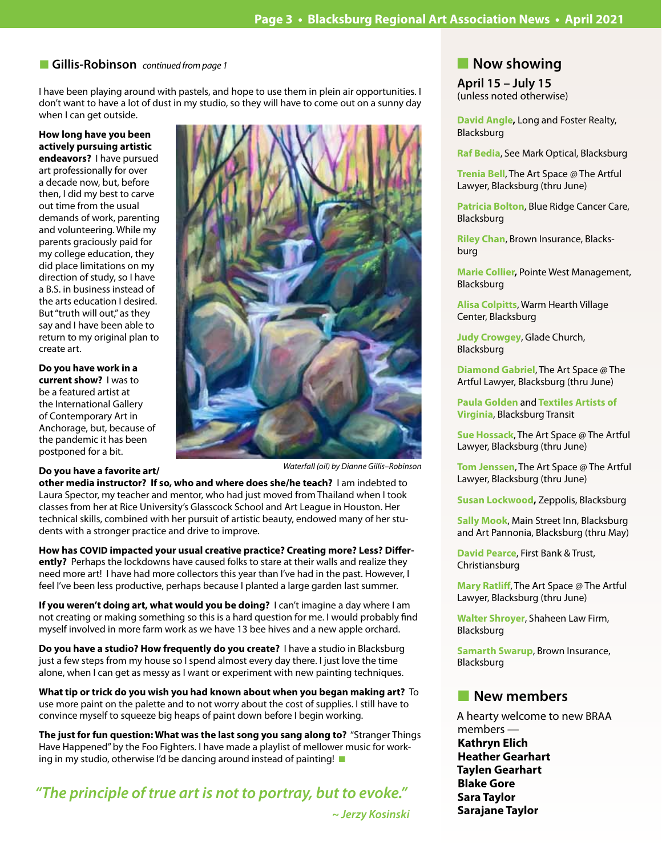### ■ Gillis-Robinson *continued from page 1*

I have been playing around with pastels, and hope to use them in plein air opportunities. I don't want to have a lot of dust in my studio, so they will have to come out on a sunny day when I can get outside.

### **How long have you been actively pursuing artistic**

**endeavors?** I have pursued art professionally for over a decade now, but, before then, I did my best to carve out time from the usual demands of work, parenting and volunteering. While my parents graciously paid for my college education, they did place limitations on my direction of study, so I have a B.S. in business instead of the arts education I desired. But "truth will out," as they say and I have been able to return to my original plan to create art.

**Do you have work in a current show?** I was to be a featured artist at the International Gallery of Contemporary Art in Anchorage, but, because of the pandemic it has been postponed for a bit.

### **Do you have a favorite art/**



*Waterfall (oil) by Dianne Gillis–Robinson*

**other media instructor? If so, who and where does she/he teach?** I am indebted to Laura Spector, my teacher and mentor, who had just moved from Thailand when I took classes from her at Rice University's Glasscock School and Art League in Houston. Her technical skills, combined with her pursuit of artistic beauty, endowed many of her students with a stronger practice and drive to improve.

### **How has COVID impacted your usual creative practice? Creating more? Less? Differently?** Perhaps the lockdowns have caused folks to stare at their walls and realize they need more art! I have had more collectors this year than I've had in the past. However, I feel I've been less productive, perhaps because I planted a large garden last summer.

**If you weren't doing art, what would you be doing?** I can't imagine a day where I am not creating or making something so this is a hard question for me. I would probably find myself involved in more farm work as we have 13 bee hives and a new apple orchard.

**Do you have a studio? How frequently do you create?** I have a studio in Blacksburg just a few steps from my house so I spend almost every day there. I just love the time alone, when I can get as messy as I want or experiment with new painting techniques.

**What tip or trick do you wish you had known about when you began making art?** To use more paint on the palette and to not worry about the cost of supplies. I still have to convince myself to squeeze big heaps of paint down before I begin working.

**The just for fun question: What was the last song you sang along to?** "Stranger Things Have Happened" by the Foo Fighters. I have made a playlist of mellower music for working in my studio, otherwise I'd be dancing around instead of painting!  $\blacksquare$ 

*"The principle of true art is not to portray, but to evoke."* 

 *~ Jerzy Kosinski*

# **Now showing**

**April 15 – July 15** (unless noted otherwise)

**David Angle,** Long and Foster Realty, Blacksburg

**Raf Bedia**, See Mark Optical, Blacksburg

**Trenia Bell**, The Art Space @ The Artful Lawyer, Blacksburg (thru June)

**Patricia Bolton**, Blue Ridge Cancer Care, Blacksburg

**Riley Chan**, Brown Insurance, Blacksburg

**Marie Collier,** Pointe West Management, Blacksburg

**Alisa Colpitts**, Warm Hearth Village Center, Blacksburg

**Judy Crowgey**, Glade Church, Blacksburg

**Diamond Gabriel**, The Art Space @ The Artful Lawyer, Blacksburg (thru June)

**Paula Golden** and **Textiles Artists of Virginia**, Blacksburg Transit

**Sue Hossack**, The Art Space @ The Artful Lawyer, Blacksburg (thru June)

**Tom Jenssen**, The Art Space @ The Artful Lawyer, Blacksburg (thru June)

**Susan Lockwood,** Zeppolis, Blacksburg

**Sally Mook**, Main Street Inn, Blacksburg and Art Pannonia, Blacksburg (thru May)

**David Pearce**, First Bank & Trust, Christiansburg

**Mary Ratliff**, The Art Space @ The Artful Lawyer, Blacksburg (thru June)

**Walter Shroyer**, Shaheen Law Firm, Blacksburg

**Samarth Swarup**, Brown Insurance, Blacksburg

# **New members**

A hearty welcome to new BRAA members — **Kathryn Elich Heather Gearhart Taylen Gearhart Blake Gore Sara Taylor Sarajane Taylor**